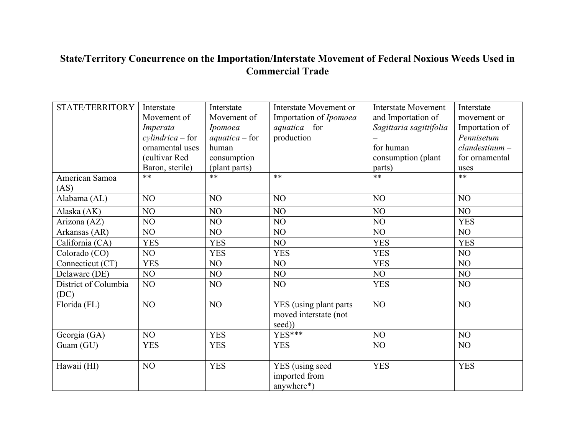## **State/Territory Concurrence on the Importation/Interstate Movement of Federal Noxious Weeds Used in Commercial Trade**

| STATE/TERRITORY      | Interstate          | Interstate       | Interstate Movement or | <b>Interstate Movement</b> | Interstate       |
|----------------------|---------------------|------------------|------------------------|----------------------------|------------------|
|                      | Movement of         | Movement of      | Importation of Ipomoea | and Importation of         | movement or      |
|                      | Imperata            | Ipomoea          | $aquatica$ – for       | Sagittaria sagittifolia    | Importation of   |
|                      |                     |                  | production             |                            | Pennisetum       |
|                      | $cylinderica$ - for | $aquatica$ – for |                        |                            |                  |
|                      | ornamental uses     | human            |                        | for human                  | $clandestinum -$ |
|                      | (cultivar Red       | consumption      |                        | consumption (plant         | for ornamental   |
|                      | Baron, sterile)     | (plant parts)    |                        | parts)                     | uses             |
| American Samoa       | $***$               | **               | $***$                  | $***$                      | $**$             |
| (AS)                 |                     |                  |                        |                            |                  |
| Alabama (AL)         | NO                  | N <sub>O</sub>   | N <sub>O</sub>         | NO                         | NO               |
| Alaska (AK)          | NO <sub>1</sub>     | NO               | NO                     | NO                         | NO               |
| Arizona (AZ)         | NO                  | NO               | NO                     | NO                         | <b>YES</b>       |
| Arkansas (AR)        | NO                  | NO               | NO                     | NO                         | NO               |
| California (CA)      | <b>YES</b>          | <b>YES</b>       | NO                     | <b>YES</b>                 | <b>YES</b>       |
| Colorado (CO)        | NO                  | <b>YES</b>       | <b>YES</b>             | <b>YES</b>                 | NO               |
| Connecticut (CT)     | <b>YES</b>          | NO               | N <sub>O</sub>         | <b>YES</b>                 | NO               |
| Delaware (DE)        | NO                  | NO               | N <sub>O</sub>         | NO                         | NO               |
| District of Columbia | NO                  | NO               | NO                     | <b>YES</b>                 | NO               |
| (DC)                 |                     |                  |                        |                            |                  |
| Florida (FL)         | NO                  | NO               | YES (using plant parts | NO                         | NO               |
|                      |                     |                  | moved interstate (not  |                            |                  |
|                      |                     |                  | seed))                 |                            |                  |
| Georgia (GA)         | NO                  | <b>YES</b>       | $YES***$               | NO                         | NO               |
| Guam (GU)            | <b>YES</b>          | <b>YES</b>       | <b>YES</b>             | NO                         | NO               |
|                      |                     |                  |                        |                            |                  |
| Hawaii (HI)          | NO                  | <b>YES</b>       | YES (using seed        | <b>YES</b>                 | <b>YES</b>       |
|                      |                     |                  | imported from          |                            |                  |
|                      |                     |                  | anywhere*)             |                            |                  |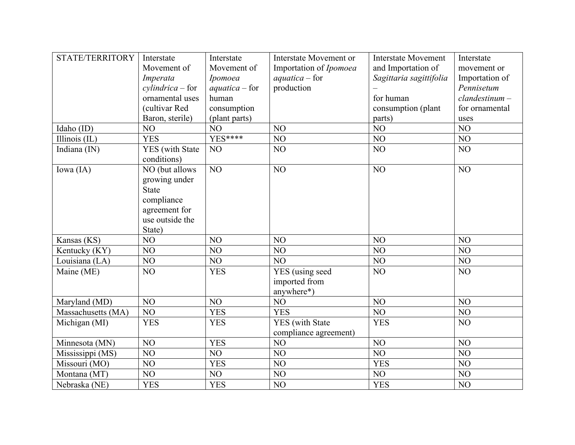| STATE/TERRITORY    | Interstate          | Interstate       | Interstate Movement or | <b>Interstate Movement</b> | Interstate       |
|--------------------|---------------------|------------------|------------------------|----------------------------|------------------|
|                    | Movement of         | Movement of      | Importation of Ipomoea | and Importation of         | movement or      |
|                    | Imperata            | Ipomoea          | $aquatica$ – for       | Sagittaria sagittifolia    | Importation of   |
|                    | $cylinderica$ - for | $aquatica$ – for | production             |                            | Pennisetum       |
|                    | ornamental uses     | human            |                        | for human                  | $clandestinum -$ |
|                    | (cultivar Red       | consumption      |                        | consumption (plant         | for ornamental   |
|                    | Baron, sterile)     | (plant parts)    |                        | parts)                     | uses             |
| Idaho (ID)         | NO                  | NO               | NO                     | NO                         | NO               |
| Illinois (IL)      | <b>YES</b>          | $YES***$         | NO                     | NO                         | NO               |
| Indiana (IN)       | YES (with State     | NO <sub>1</sub>  | NO                     | NO                         | NO               |
|                    | conditions)         |                  |                        |                            |                  |
| Iowa (IA)          | NO (but allows      | NO               | NO                     | NO                         | NO               |
|                    | growing under       |                  |                        |                            |                  |
|                    | <b>State</b>        |                  |                        |                            |                  |
|                    | compliance          |                  |                        |                            |                  |
|                    | agreement for       |                  |                        |                            |                  |
|                    | use outside the     |                  |                        |                            |                  |
|                    | State)              |                  |                        |                            |                  |
| Kansas (KS)        | NO                  | NO               | NO                     | NO                         | NO               |
| Kentucky (KY)      | NO                  | NO               | NO                     | NO                         | NO               |
| Louisiana (LA)     | NO                  | NO               | NO                     | NO                         | NO               |
| Maine (ME)         | NO                  | <b>YES</b>       | YES (using seed        | NO                         | NO               |
|                    |                     |                  | imported from          |                            |                  |
|                    |                     |                  | anywhere*)             |                            |                  |
| Maryland (MD)      | NO                  | NO               | NO                     | NO <sub>1</sub>            | NO               |
| Massachusetts (MA) | NO                  | <b>YES</b>       | <b>YES</b>             | NO                         | NO               |
| Michigan (MI)      | <b>YES</b>          | <b>YES</b>       | <b>YES</b> (with State | <b>YES</b>                 | N <sub>O</sub>   |
|                    |                     |                  | compliance agreement)  |                            |                  |
| Minnesota (MN)     | NO                  | <b>YES</b>       | NO                     | NO                         | NO               |
| Mississippi (MS)   | NO                  | NO               | NO                     | NO <sub>1</sub>            | NO               |
| Missouri (MO)      | NO                  | <b>YES</b>       | NO                     | <b>YES</b>                 | NO               |
| Montana (MT)       | NO                  | NO               | NO                     | NO                         | NO               |
| Nebraska (NE)      | <b>YES</b>          | <b>YES</b>       | NO                     | <b>YES</b>                 | NO               |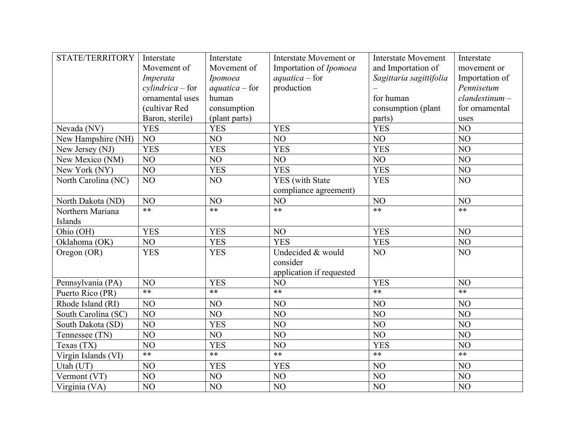| STATE/TERRITORY     | Interstate          | Interstate       | Interstate Movement or   | <b>Interstate Movement</b> | Interstate       |
|---------------------|---------------------|------------------|--------------------------|----------------------------|------------------|
|                     | Movement of         | Movement of      | Importation of Ipomoea   | and Importation of         | movement or      |
|                     | Imperata            | Ipomoea          | $aquatica$ – for         | Sagittaria sagittifolia    | Importation of   |
|                     | $cylinderica$ - for | $aquatica$ – for | production               |                            | Pennisetum       |
|                     | ornamental uses     | human            |                          | for human                  | $clandestinum -$ |
|                     | (cultivar Red       | consumption      |                          | consumption (plant         | for ornamental   |
|                     | Baron, sterile)     | (plant parts)    |                          | parts)                     | uses             |
| Nevada (NV)         | <b>YES</b>          | <b>YES</b>       | <b>YES</b>               | <b>YES</b>                 | NO               |
| New Hampshire (NH)  | NO                  | NO               | NO                       | NO                         | NO               |
| New Jersey (NJ)     | <b>YES</b>          | <b>YES</b>       | <b>YES</b>               | <b>YES</b>                 | NO               |
| New Mexico (NM)     | NO                  | NO               | NO                       | NO                         | NO               |
| New York (NY)       | NO                  | <b>YES</b>       | <b>YES</b>               | <b>YES</b>                 | N <sub>O</sub>   |
| North Carolina (NC) | NO                  | NO               | <b>YES</b> (with State   | <b>YES</b>                 | NO               |
|                     |                     |                  | compliance agreement)    |                            |                  |
| North Dakota (ND)   | NO                  | NO               | NO                       | NO                         | NO               |
| Northern Mariana    | $**$                | $**$             | $**$                     | $**$                       | $**$             |
| Islands             |                     |                  |                          |                            |                  |
| Ohio (OH)           | <b>YES</b>          | <b>YES</b>       | NO                       | <b>YES</b>                 | NO               |
| Oklahoma (OK)       | NO                  | <b>YES</b>       | <b>YES</b>               | <b>YES</b>                 | NO               |
| Oregon (OR)         | <b>YES</b>          | <b>YES</b>       | Undecided & would        | NO                         | NO               |
|                     |                     |                  | consider                 |                            |                  |
|                     |                     |                  | application if requested |                            |                  |
| Pennsylvania (PA)   | NO                  | <b>YES</b>       | NO                       | <b>YES</b>                 | NO               |
| Puerto Rico (PR)    | $**$                | $**$             | $**$                     | $**$                       | $**$             |
| Rhode Island (RI)   | NO                  | NO               | NO                       | NO                         | NO               |
| South Carolina (SC) | NO                  | NO               | NO                       | NO                         | NO               |
| South Dakota (SD)   | NO                  | <b>YES</b>       | NO                       | NO                         | NO               |
| Tennessee (TN)      | N <sub>O</sub>      | NO               | NO                       | NO <sub>1</sub>            | NO               |
| Texas (TX)          | NO                  | <b>YES</b>       | NO                       | <b>YES</b>                 | NO               |
| Virgin Islands (VI) | $**$                | $**$             | $**$                     | $**$                       | $**$             |
| Utah (UT)           | NO                  | <b>YES</b>       | <b>YES</b>               | NO                         | N <sub>O</sub>   |
| Vermont (VT)        | NO                  | NO               | NO                       | NO                         | NO               |
| Virginia (VA)       | NO                  | NO               | NO                       | NO                         | NO               |